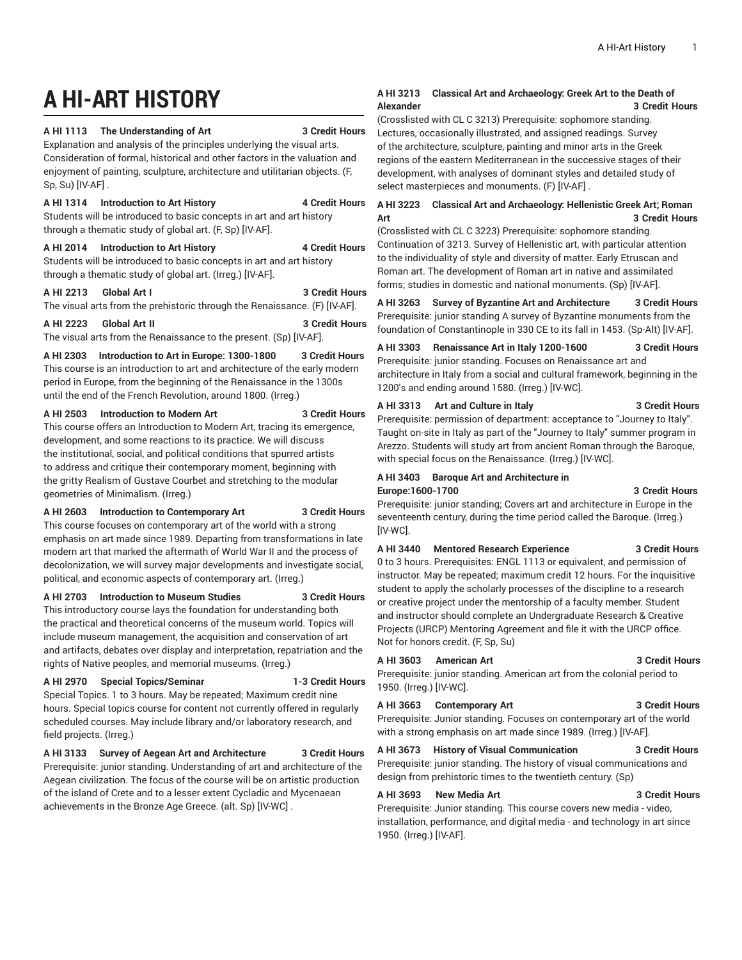# **A HI-ART HISTORY**

**A HI 1113 The Understanding of Art 3 Credit Hours**

|  | <b>3 Credit Hours</b> |
|--|-----------------------|
|  |                       |

Explanation and analysis of the principles underlying the visual arts. Consideration of formal, historical and other factors in the valuation and enjoyment of painting, sculpture, architecture and utilitarian objects. (F, Sp, Su) [IV-AF] .

#### **A HI 1314 Introduction to Art History 4 Credit Hours**

Students will be introduced to basic concepts in art and art history through a thematic study of global art. (F, Sp) [IV-AF].

# **A HI 2014 Introduction to Art History 4 Credit Hours**

Students will be introduced to basic concepts in art and art history through a thematic study of global art. (Irreg.) [IV-AF].

#### **A HI 2213 Global Art I 3 Credit Hours**

The visual arts from the prehistoric through the Renaissance. (F) [IV-AF].

**A HI 2223 Global Art II 3 Credit Hours** The visual arts from the Renaissance to the present. (Sp) [IV-AF].

**A HI 2303 Introduction to Art in Europe: 1300-1800 3 Credit Hours** This course is an introduction to art and architecture of the early modern period in Europe, from the beginning of the Renaissance in the 1300s until the end of the French Revolution, around 1800. (Irreg.)

#### **A HI 2503 Introduction to Modern Art 3 Credit Hours**

This course offers an Introduction to Modern Art, tracing its emergence, development, and some reactions to its practice. We will discuss the institutional, social, and political conditions that spurred artists to address and critique their contemporary moment, beginning with the gritty Realism of Gustave Courbet and stretching to the modular geometries of Minimalism. (Irreg.)

### **A HI 2603 Introduction to Contemporary Art 3 Credit Hours**

This course focuses on contemporary art of the world with a strong emphasis on art made since 1989. Departing from transformations in late modern art that marked the aftermath of World War II and the process of decolonization, we will survey major developments and investigate social, political, and economic aspects of contemporary art. (Irreg.)

### **A HI 2703 Introduction to Museum Studies 3 Credit Hours**

This introductory course lays the foundation for understanding both the practical and theoretical concerns of the museum world. Topics will include museum management, the acquisition and conservation of art and artifacts, debates over display and interpretation, repatriation and the rights of Native peoples, and memorial museums. (Irreg.)

# **A HI 2970 Special Topics/Seminar 1-3 Credit Hours** Special Topics. 1 to 3 hours. May be repeated; Maximum credit nine hours. Special topics course for content not currently offered in regularly

scheduled courses. May include library and/or laboratory research, and field projects. (Irreg.)

**A HI 3133 Survey of Aegean Art and Architecture 3 Credit Hours** Prerequisite: junior standing. Understanding of art and architecture of the

Aegean civilization. The focus of the course will be on artistic production of the island of Crete and to a lesser extent Cycladic and Mycenaean achievements in the Bronze Age Greece. (alt. Sp) [IV-WC] .

### **A HI 3213 Classical Art and Archaeology: Greek Art to the Death of Alexander 3 Credit Hours**

(Crosslisted with CL C 3213) Prerequisite: sophomore standing. Lectures, occasionally illustrated, and assigned readings. Survey of the architecture, sculpture, painting and minor arts in the Greek regions of the eastern Mediterranean in the successive stages of their development, with analyses of dominant styles and detailed study of select masterpieces and monuments. (F) [IV-AF] .

# **A HI 3223 Classical Art and Archaeology: Hellenistic Greek Art; Roman Art 3 Credit Hours**

(Crosslisted with CL C 3223) Prerequisite: sophomore standing. Continuation of 3213. Survey of Hellenistic art, with particular attention to the individuality of style and diversity of matter. Early Etruscan and Roman art. The development of Roman art in native and assimilated forms; studies in domestic and national monuments. (Sp) [IV-AF].

**A HI 3263 Survey of Byzantine Art and Architecture 3 Credit Hours** Prerequisite: junior standing A survey of Byzantine monuments from the foundation of Constantinople in 330 CE to its fall in 1453. (Sp-Alt) [IV-AF].

# **A HI 3303 Renaissance Art in Italy 1200-1600 3 Credit Hours**

Prerequisite: junior standing. Focuses on Renaissance art and architecture in Italy from a social and cultural framework, beginning in the 1200's and ending around 1580. (Irreg.) [IV-WC].

#### **A HI 3313 Art and Culture in Italy 3 Credit Hours**

Prerequisite: permission of department: acceptance to "Journey to Italy". Taught on-site in Italy as part of the "Journey to Italy" summer program in Arezzo. Students will study art from ancient Roman through the Baroque, with special focus on the Renaissance. (Irreg.) [IV-WC].

#### **A HI 3403 Baroque Art and Architecture in Europe:1600-1700 3 Credit Hours**

Prerequisite: junior standing; Covers art and architecture in Europe in the seventeenth century, during the time period called the Baroque. (Irreg.) [IV-WC].

### **A HI 3440 Mentored Research Experience 3 Credit Hours**

0 to 3 hours. Prerequisites: ENGL 1113 or equivalent, and permission of instructor. May be repeated; maximum credit 12 hours. For the inquisitive student to apply the scholarly processes of the discipline to a research or creative project under the mentorship of a faculty member. Student and instructor should complete an Undergraduate Research & Creative Projects (URCP) Mentoring Agreement and file it with the URCP office. Not for honors credit. (F, Sp, Su)

**A HI 3603 American Art 3 Credit Hours** Prerequisite: junior standing. American art from the colonial period to 1950. (Irreg.) [IV-WC].

# **A HI 3663 Contemporary Art 3 Credit Hours** Prerequisite: Junior standing. Focuses on contemporary art of the world

with a strong emphasis on art made since 1989. (Irreg.) [IV-AF].

# **A HI 3673 History of Visual Communication 3 Credit Hours**

Prerequisite: junior standing. The history of visual communications and design from prehistoric times to the twentieth century. (Sp)

#### **A HI 3693 New Media Art 3 Credit Hours** Prerequisite: Junior standing. This course covers new media - video,

installation, performance, and digital media - and technology in art since 1950. (Irreg.) [IV-AF].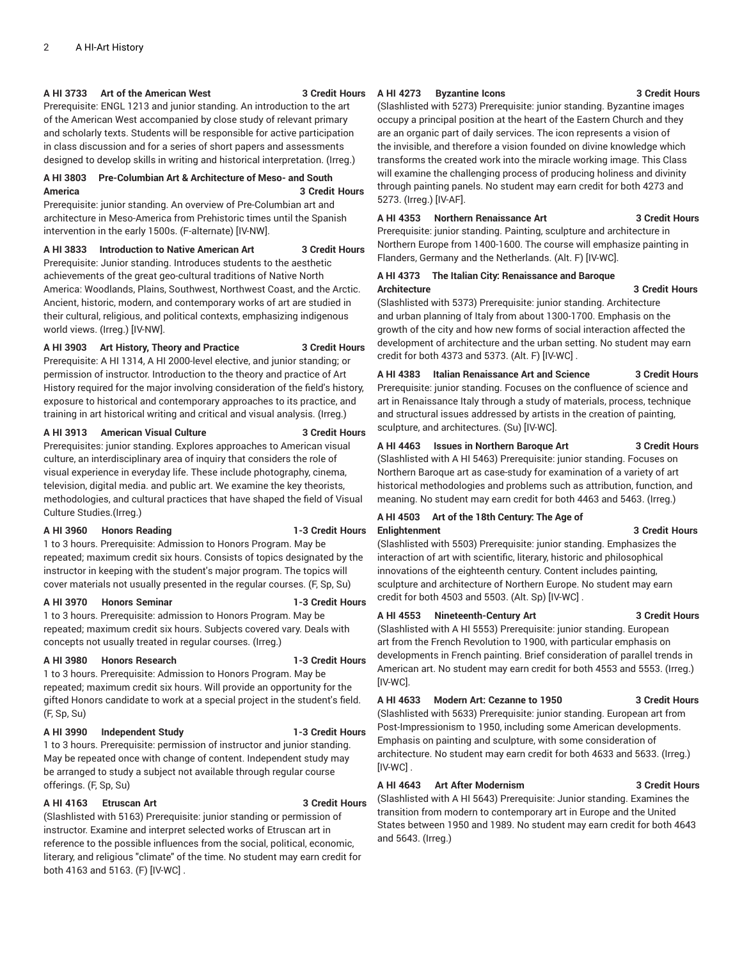#### **A HI 3733 Art of the American West 3 Credit Hours**

Prerequisite: ENGL 1213 and junior standing. An introduction to the art of the American West accompanied by close study of relevant primary and scholarly texts. Students will be responsible for active participation in class discussion and for a series of short papers and assessments designed to develop skills in writing and historical interpretation. (Irreg.)

# **A HI 3803 Pre-Columbian Art & Architecture of Meso- and South America 3 Credit Hours**

Prerequisite: junior standing. An overview of Pre-Columbian art and architecture in Meso-America from Prehistoric times until the Spanish intervention in the early 1500s. (F-alternate) [IV-NW].

#### **A HI 3833 Introduction to Native American Art 3 Credit Hours**

Prerequisite: Junior standing. Introduces students to the aesthetic achievements of the great geo-cultural traditions of Native North America: Woodlands, Plains, Southwest, Northwest Coast, and the Arctic. Ancient, historic, modern, and contemporary works of art are studied in their cultural, religious, and political contexts, emphasizing indigenous world views. (Irreg.) [IV-NW].

### **A HI 3903 Art History, Theory and Practice 3 Credit Hours**

Prerequisite: A HI 1314, A HI 2000-level elective, and junior standing; or permission of instructor. Introduction to the theory and practice of Art History required for the major involving consideration of the field's history, exposure to historical and contemporary approaches to its practice, and training in art historical writing and critical and visual analysis. (Irreg.)

#### **A HI 3913 American Visual Culture 3 Credit Hours**

Prerequisites: junior standing. Explores approaches to American visual culture, an interdisciplinary area of inquiry that considers the role of visual experience in everyday life. These include photography, cinema, television, digital media. and public art. We examine the key theorists, methodologies, and cultural practices that have shaped the field of Visual Culture Studies.(Irreg.)

#### **A HI 3960 Honors Reading 1-3 Credit Hours**

1 to 3 hours. Prerequisite: Admission to Honors Program. May be repeated; maximum credit six hours. Consists of topics designated by the instructor in keeping with the student's major program. The topics will cover materials not usually presented in the regular courses. (F, Sp, Su)

#### **A HI 3970 Honors Seminar 1-3 Credit Hours**

1 to 3 hours. Prerequisite: admission to Honors Program. May be repeated; maximum credit six hours. Subjects covered vary. Deals with concepts not usually treated in regular courses. (Irreg.)

### **A HI 3980 Honors Research 1-3 Credit Hours**

1 to 3 hours. Prerequisite: Admission to Honors Program. May be repeated; maximum credit six hours. Will provide an opportunity for the gifted Honors candidate to work at a special project in the student's field. (F, Sp, Su)

#### **A HI 3990 Independent Study 1-3 Credit Hours**

1 to 3 hours. Prerequisite: permission of instructor and junior standing. May be repeated once with change of content. Independent study may be arranged to study a subject not available through regular course offerings. (F, Sp, Su)

### **A HI 4163 Etruscan Art 3 Credit Hours**

(Slashlisted with 5163) Prerequisite: junior standing or permission of instructor. Examine and interpret selected works of Etruscan art in reference to the possible influences from the social, political, economic, literary, and religious "climate" of the time. No student may earn credit for both 4163 and 5163. (F) [IV-WC] .

#### **A HI 4273 Byzantine Icons 3 Credit Hours**

(Slashlisted with 5273) Prerequisite: junior standing. Byzantine images occupy a principal position at the heart of the Eastern Church and they are an organic part of daily services. The icon represents a vision of the invisible, and therefore a vision founded on divine knowledge which transforms the created work into the miracle working image. This Class will examine the challenging process of producing holiness and divinity through painting panels. No student may earn credit for both 4273 and 5273. (Irreg.) [IV-AF].

# **A HI 4353 Northern Renaissance Art 3 Credit Hours**

Prerequisite: junior standing. Painting, sculpture and architecture in Northern Europe from 1400-1600. The course will emphasize painting in Flanders, Germany and the Netherlands. (Alt. F) [IV-WC].

#### **A HI 4373 The Italian City: Renaissance and Baroque Architecture 3 Credit Hours**

(Slashlisted with 5373) Prerequisite: junior standing. Architecture and urban planning of Italy from about 1300-1700. Emphasis on the growth of the city and how new forms of social interaction affected the development of architecture and the urban setting. No student may earn credit for both 4373 and 5373. (Alt. F) [IV-WC] .

**A HI 4383 Italian Renaissance Art and Science 3 Credit Hours** Prerequisite: junior standing. Focuses on the confluence of science and art in Renaissance Italy through a study of materials, process, technique and structural issues addressed by artists in the creation of painting, sculpture, and architectures. (Su) [IV-WC].

# **A HI 4463 Issues in Northern Baroque Art 3 Credit Hours**

(Slashlisted with A HI 5463) Prerequisite: junior standing. Focuses on Northern Baroque art as case-study for examination of a variety of art historical methodologies and problems such as attribution, function, and meaning. No student may earn credit for both 4463 and 5463. (Irreg.)

#### **A HI 4503 Art of the 18th Century: The Age of Enlightenment 3 Credit Hours**

(Slashlisted with 5503) Prerequisite: junior standing. Emphasizes the interaction of art with scientific, literary, historic and philosophical innovations of the eighteenth century. Content includes painting, sculpture and architecture of Northern Europe. No student may earn credit for both 4503 and 5503. (Alt. Sp) [IV-WC] .

### **A HI 4553 Nineteenth-Century Art 3 Credit Hours**

(Slashlisted with A HI 5553) Prerequisite: junior standing. European art from the French Revolution to 1900, with particular emphasis on developments in French painting. Brief consideration of parallel trends in American art. No student may earn credit for both 4553 and 5553. (Irreg.) [IV-WC].

### **A HI 4633 Modern Art: Cezanne to 1950 3 Credit Hours**

(Slashlisted with 5633) Prerequisite: junior standing. European art from Post-Impressionism to 1950, including some American developments. Emphasis on painting and sculpture, with some consideration of architecture. No student may earn credit for both 4633 and 5633. (Irreg.) [IV-WC] .

### **A HI 4643 Art After Modernism 3 Credit Hours**

(Slashlisted with A HI 5643) Prerequisite: Junior standing. Examines the transition from modern to contemporary art in Europe and the United States between 1950 and 1989. No student may earn credit for both 4643 and 5643. (Irreg.)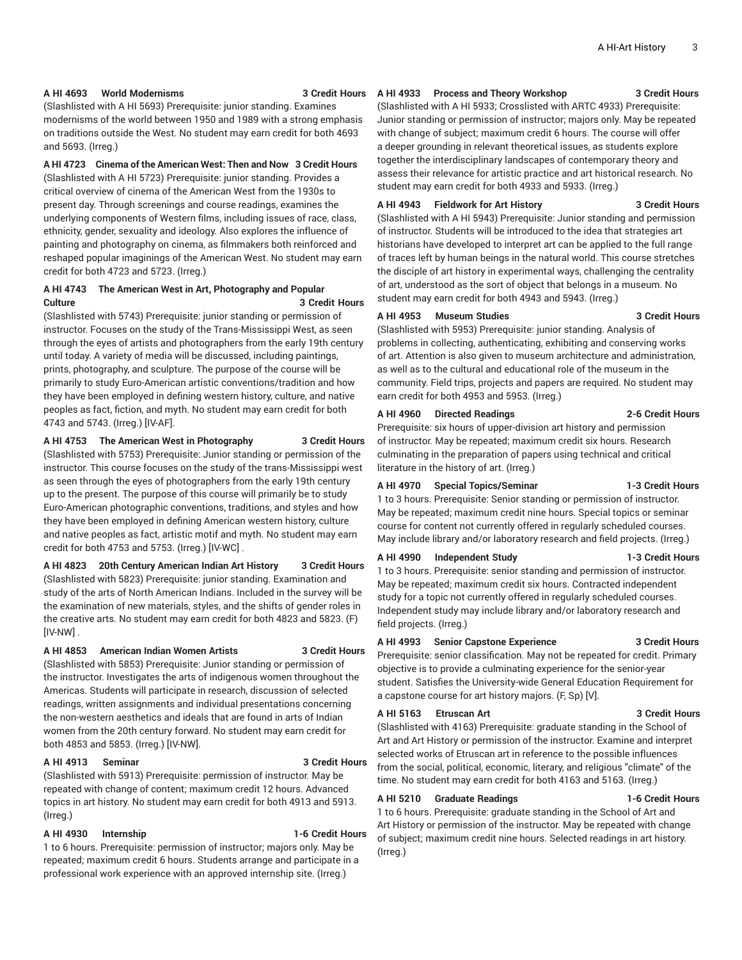#### **A HI 4693 World Modernisms 3 Credit Hours**

(Slashlisted with A HI 5693) Prerequisite: junior standing. Examines modernisms of the world between 1950 and 1989 with a strong emphasis on traditions outside the West. No student may earn credit for both 4693 and 5693. (Irreg.)

### **A HI 4723 Cinema of the American West: Then and Now 3 Credit Hours**

(Slashlisted with A HI 5723) Prerequisite: junior standing. Provides a critical overview of cinema of the American West from the 1930s to present day. Through screenings and course readings, examines the underlying components of Western films, including issues of race, class, ethnicity, gender, sexuality and ideology. Also explores the influence of painting and photography on cinema, as filmmakers both reinforced and reshaped popular imaginings of the American West. No student may earn credit for both 4723 and 5723. (Irreg.)

# **A HI 4743 The American West in Art, Photography and Popular Culture 3 Credit Hours**

(Slashlisted with 5743) Prerequisite: junior standing or permission of instructor. Focuses on the study of the Trans-Mississippi West, as seen through the eyes of artists and photographers from the early 19th century until today. A variety of media will be discussed, including paintings, prints, photography, and sculpture. The purpose of the course will be primarily to study Euro-American artistic conventions/tradition and how they have been employed in defining western history, culture, and native peoples as fact, fiction, and myth. No student may earn credit for both 4743 and 5743. (Irreg.) [IV-AF].

### **A HI 4753 The American West in Photography 3 Credit Hours**

(Slashlisted with 5753) Prerequisite: Junior standing or permission of the instructor. This course focuses on the study of the trans-Mississippi west as seen through the eyes of photographers from the early 19th century up to the present. The purpose of this course will primarily be to study Euro-American photographic conventions, traditions, and styles and how they have been employed in defining American western history, culture and native peoples as fact, artistic motif and myth. No student may earn credit for both 4753 and 5753. (Irreg.) [IV-WC] .

### **A HI 4823 20th Century American Indian Art History 3 Credit Hours** (Slashlisted with 5823) Prerequisite: junior standing. Examination and study of the arts of North American Indians. Included in the survey will be the examination of new materials, styles, and the shifts of gender roles in the creative arts. No student may earn credit for both 4823 and 5823. (F) [IV-NW] .

#### **A HI 4853 American Indian Women Artists 3 Credit Hours**

(Slashlisted with 5853) Prerequisite: Junior standing or permission of the instructor. Investigates the arts of indigenous women throughout the Americas. Students will participate in research, discussion of selected readings, written assignments and individual presentations concerning the non-western aesthetics and ideals that are found in arts of Indian women from the 20th century forward. No student may earn credit for both 4853 and 5853. (Irreg.) [IV-NW].

#### **A HI 4913 Seminar 3 Credit Hours**

(Slashlisted with 5913) Prerequisite: permission of instructor. May be repeated with change of content; maximum credit 12 hours. Advanced topics in art history. No student may earn credit for both 4913 and 5913. (Irreg.)

### **A HI 4930 Internship 1-6 Credit Hours**

1 to 6 hours. Prerequisite: permission of instructor; majors only. May be repeated; maximum credit 6 hours. Students arrange and participate in a professional work experience with an approved internship site. (Irreg.)

#### **A HI 4933 Process and Theory Workshop 3 Credit Hours**

(Slashlisted with A HI 5933; Crosslisted with ARTC 4933) Prerequisite: Junior standing or permission of instructor; majors only. May be repeated with change of subject; maximum credit 6 hours. The course will offer a deeper grounding in relevant theoretical issues, as students explore together the interdisciplinary landscapes of contemporary theory and assess their relevance for artistic practice and art historical research. No student may earn credit for both 4933 and 5933. (Irreg.)

#### **A HI 4943 Fieldwork for Art History 3 Credit Hours**

(Slashlisted with A HI 5943) Prerequisite: Junior standing and permission of instructor. Students will be introduced to the idea that strategies art historians have developed to interpret art can be applied to the full range of traces left by human beings in the natural world. This course stretches the disciple of art history in experimental ways, challenging the centrality of art, understood as the sort of object that belongs in a museum. No student may earn credit for both 4943 and 5943. (Irreg.)

#### **A HI 4953 Museum Studies 3 Credit Hours**

(Slashlisted with 5953) Prerequisite: junior standing. Analysis of problems in collecting, authenticating, exhibiting and conserving works of art. Attention is also given to museum architecture and administration, as well as to the cultural and educational role of the museum in the community. Field trips, projects and papers are required. No student may earn credit for both 4953 and 5953. (Irreg.)

#### **A HI 4960 Directed Readings 2-6 Credit Hours**

Prerequisite: six hours of upper-division art history and permission of instructor. May be repeated; maximum credit six hours. Research culminating in the preparation of papers using technical and critical literature in the history of art. (Irreg.)

#### **A HI 4970 Special Topics/Seminar 1-3 Credit Hours**

1 to 3 hours. Prerequisite: Senior standing or permission of instructor. May be repeated; maximum credit nine hours. Special topics or seminar course for content not currently offered in regularly scheduled courses. May include library and/or laboratory research and field projects. (Irreg.)

#### **A HI 4990 Independent Study 1-3 Credit Hours**

1 to 3 hours. Prerequisite: senior standing and permission of instructor. May be repeated; maximum credit six hours. Contracted independent study for a topic not currently offered in regularly scheduled courses. Independent study may include library and/or laboratory research and field projects. (Irreg.)

#### **A HI 4993 Senior Capstone Experience 3 Credit Hours**

Prerequisite: senior classification. May not be repeated for credit. Primary objective is to provide a culminating experience for the senior-year student. Satisfies the University-wide General Education Requirement for a capstone course for art history majors. (F, Sp) [V].

#### **A HI 5163 Etruscan Art 3 Credit Hours**

(Slashlisted with 4163) Prerequisite: graduate standing in the School of Art and Art History or permission of the instructor. Examine and interpret selected works of Etruscan art in reference to the possible influences from the social, political, economic, literary, and religious "climate" of the time. No student may earn credit for both 4163 and 5163. (Irreg.)

#### **A HI 5210 Graduate Readings 1-6 Credit Hours**

1 to 6 hours. Prerequisite: graduate standing in the School of Art and Art History or permission of the instructor. May be repeated with change of subject; maximum credit nine hours. Selected readings in art history. (Irreg.)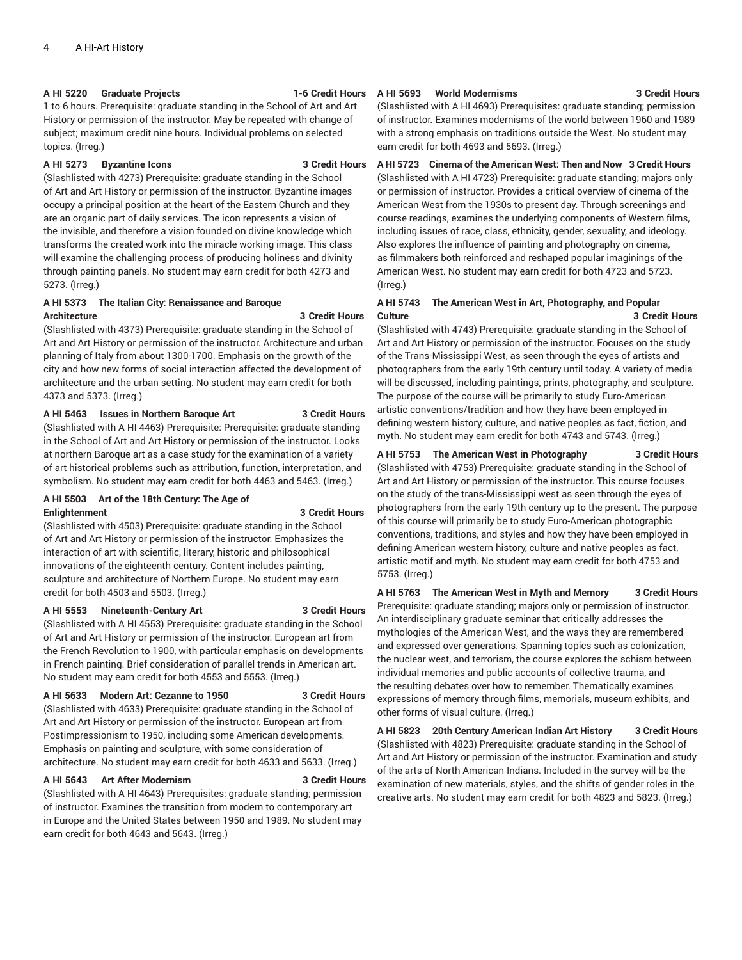#### **A HI 5220 Graduate Projects 1-6 Credit Hours**

1 to 6 hours. Prerequisite: graduate standing in the School of Art and Art History or permission of the instructor. May be repeated with change of subject; maximum credit nine hours. Individual problems on selected topics. (Irreg.)

#### **A HI 5273 Byzantine Icons 3 Credit Hours**

(Slashlisted with 4273) Prerequisite: graduate standing in the School of Art and Art History or permission of the instructor. Byzantine images occupy a principal position at the heart of the Eastern Church and they are an organic part of daily services. The icon represents a vision of the invisible, and therefore a vision founded on divine knowledge which transforms the created work into the miracle working image. This class will examine the challenging process of producing holiness and divinity through painting panels. No student may earn credit for both 4273 and 5273. (Irreg.)

# **A HI 5373 The Italian City: Renaissance and Baroque Architecture 3 Credit Hours**

(Slashlisted with 4373) Prerequisite: graduate standing in the School of Art and Art History or permission of the instructor. Architecture and urban planning of Italy from about 1300-1700. Emphasis on the growth of the city and how new forms of social interaction affected the development of architecture and the urban setting. No student may earn credit for both 4373 and 5373. (Irreg.)

#### **A HI 5463 Issues in Northern Baroque Art 3 Credit Hours**

(Slashlisted with A HI 4463) Prerequisite: Prerequisite: graduate standing in the School of Art and Art History or permission of the instructor. Looks at northern Baroque art as a case study for the examination of a variety of art historical problems such as attribution, function, interpretation, and symbolism. No student may earn credit for both 4463 and 5463. (Irreg.)

### **A HI 5503 Art of the 18th Century: The Age of Enlightenment 3 Credit Hours**

(Slashlisted with 4503) Prerequisite: graduate standing in the School of Art and Art History or permission of the instructor. Emphasizes the interaction of art with scientific, literary, historic and philosophical innovations of the eighteenth century. Content includes painting, sculpture and architecture of Northern Europe. No student may earn credit for both 4503 and 5503. (Irreg.)

#### **A HI 5553 Nineteenth-Century Art 3 Credit Hours**

(Slashlisted with A HI 4553) Prerequisite: graduate standing in the School of Art and Art History or permission of the instructor. European art from the French Revolution to 1900, with particular emphasis on developments in French painting. Brief consideration of parallel trends in American art. No student may earn credit for both 4553 and 5553. (Irreg.)

#### **A HI 5633 Modern Art: Cezanne to 1950 3 Credit Hours**

(Slashlisted with 4633) Prerequisite: graduate standing in the School of Art and Art History or permission of the instructor. European art from Postimpressionism to 1950, including some American developments. Emphasis on painting and sculpture, with some consideration of architecture. No student may earn credit for both 4633 and 5633. (Irreg.)

#### **A HI 5643 Art After Modernism 3 Credit Hours**

(Slashlisted with A HI 4643) Prerequisites: graduate standing; permission of instructor. Examines the transition from modern to contemporary art in Europe and the United States between 1950 and 1989. No student may earn credit for both 4643 and 5643. (Irreg.)

# **A HI 5693 World Modernisms 3 Credit Hours**

(Slashlisted with A HI 4693) Prerequisites: graduate standing; permission of instructor. Examines modernisms of the world between 1960 and 1989 with a strong emphasis on traditions outside the West. No student may earn credit for both 4693 and 5693. (Irreg.)

**A HI 5723 Cinema of the American West: Then and Now 3 Credit Hours** (Slashlisted with A HI 4723) Prerequisite: graduate standing; majors only or permission of instructor. Provides a critical overview of cinema of the American West from the 1930s to present day. Through screenings and course readings, examines the underlying components of Western films, including issues of race, class, ethnicity, gender, sexuality, and ideology. Also explores the influence of painting and photography on cinema, as filmmakers both reinforced and reshaped popular imaginings of the American West. No student may earn credit for both 4723 and 5723. (Irreg.)

# **A HI 5743 The American West in Art, Photography, and Popular Culture 3 Credit Hours**

(Slashlisted with 4743) Prerequisite: graduate standing in the School of Art and Art History or permission of the instructor. Focuses on the study of the Trans-Mississippi West, as seen through the eyes of artists and photographers from the early 19th century until today. A variety of media will be discussed, including paintings, prints, photography, and sculpture. The purpose of the course will be primarily to study Euro-American artistic conventions/tradition and how they have been employed in defining western history, culture, and native peoples as fact, fiction, and myth. No student may earn credit for both 4743 and 5743. (Irreg.)

#### **A HI 5753 The American West in Photography 3 Credit Hours**

(Slashlisted with 4753) Prerequisite: graduate standing in the School of Art and Art History or permission of the instructor. This course focuses on the study of the trans-Mississippi west as seen through the eyes of photographers from the early 19th century up to the present. The purpose of this course will primarily be to study Euro-American photographic conventions, traditions, and styles and how they have been employed in defining American western history, culture and native peoples as fact, artistic motif and myth. No student may earn credit for both 4753 and 5753. (Irreg.)

**A HI 5763 The American West in Myth and Memory 3 Credit Hours** Prerequisite: graduate standing; majors only or permission of instructor. An interdisciplinary graduate seminar that critically addresses the mythologies of the American West, and the ways they are remembered and expressed over generations. Spanning topics such as colonization, the nuclear west, and terrorism, the course explores the schism between individual memories and public accounts of collective trauma, and the resulting debates over how to remember. Thematically examines expressions of memory through films, memorials, museum exhibits, and other forms of visual culture. (Irreg.)

**A HI 5823 20th Century American Indian Art History 3 Credit Hours** (Slashlisted with 4823) Prerequisite: graduate standing in the School of Art and Art History or permission of the instructor. Examination and study of the arts of North American Indians. Included in the survey will be the examination of new materials, styles, and the shifts of gender roles in the creative arts. No student may earn credit for both 4823 and 5823. (Irreg.)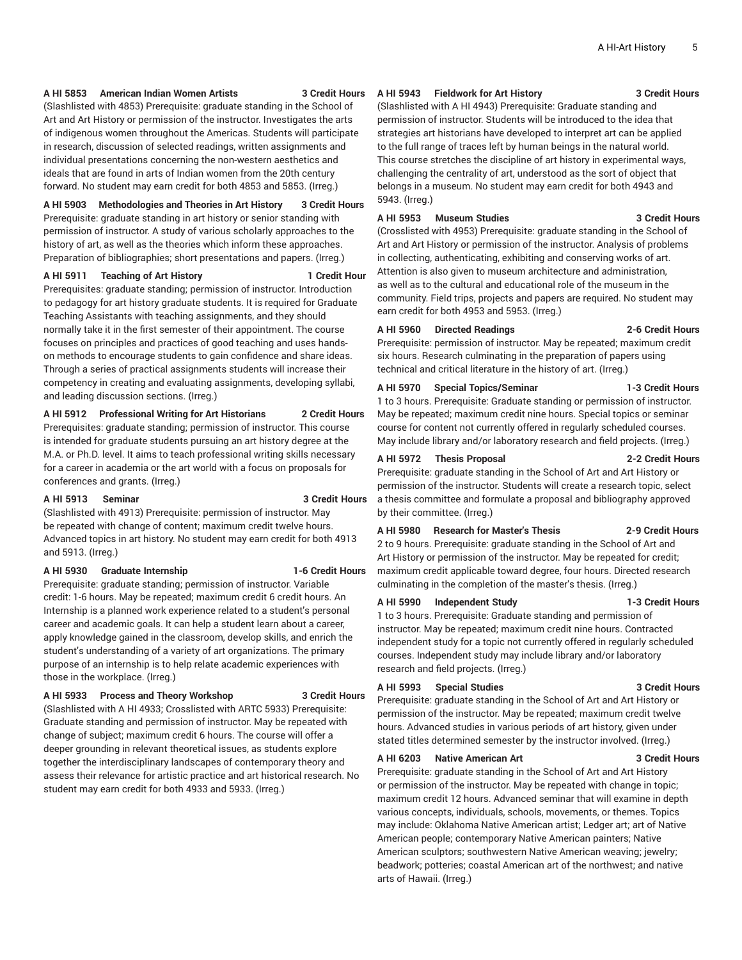#### **A HI 5853 American Indian Women Artists 3 Credit Hours**

(Slashlisted with 4853) Prerequisite: graduate standing in the School of Art and Art History or permission of the instructor. Investigates the arts of indigenous women throughout the Americas. Students will participate in research, discussion of selected readings, written assignments and individual presentations concerning the non-western aesthetics and ideals that are found in arts of Indian women from the 20th century forward. No student may earn credit for both 4853 and 5853. (Irreg.)

**A HI 5903 Methodologies and Theories in Art History 3 Credit Hours**

Prerequisite: graduate standing in art history or senior standing with permission of instructor. A study of various scholarly approaches to the history of art, as well as the theories which inform these approaches. Preparation of bibliographies; short presentations and papers. (Irreg.)

#### **A HI 5911 Teaching of Art History 1 Credit Hour**

Prerequisites: graduate standing; permission of instructor. Introduction to pedagogy for art history graduate students. It is required for Graduate Teaching Assistants with teaching assignments, and they should normally take it in the first semester of their appointment. The course focuses on principles and practices of good teaching and uses handson methods to encourage students to gain confidence and share ideas. Through a series of practical assignments students will increase their competency in creating and evaluating assignments, developing syllabi, and leading discussion sections. (Irreg.)

# **A HI 5912 Professional Writing for Art Historians 2 Credit Hours**

Prerequisites: graduate standing; permission of instructor. This course is intended for graduate students pursuing an art history degree at the M.A. or Ph.D. level. It aims to teach professional writing skills necessary for a career in academia or the art world with a focus on proposals for conferences and grants. (Irreg.)

#### **A HI 5913 Seminar 3 Credit Hours**

(Slashlisted with 4913) Prerequisite: permission of instructor. May be repeated with change of content; maximum credit twelve hours. Advanced topics in art history. No student may earn credit for both 4913 and 5913. (Irreg.)

#### **A HI 5930 Graduate Internship 1-6 Credit Hours**

Prerequisite: graduate standing; permission of instructor. Variable credit: 1-6 hours. May be repeated; maximum credit 6 credit hours. An Internship is a planned work experience related to a student's personal career and academic goals. It can help a student learn about a career, apply knowledge gained in the classroom, develop skills, and enrich the student's understanding of a variety of art organizations. The primary purpose of an internship is to help relate academic experiences with those in the workplace. (Irreg.)

### **A HI 5933 Process and Theory Workshop 3 Credit Hours**

(Slashlisted with A HI 4933; Crosslisted with ARTC 5933) Prerequisite: Graduate standing and permission of instructor. May be repeated with change of subject; maximum credit 6 hours. The course will offer a deeper grounding in relevant theoretical issues, as students explore together the interdisciplinary landscapes of contemporary theory and assess their relevance for artistic practice and art historical research. No student may earn credit for both 4933 and 5933. (Irreg.)

#### **A HI 5943 Fieldwork for Art History 3 Credit Hours**

(Slashlisted with A HI 4943) Prerequisite: Graduate standing and permission of instructor. Students will be introduced to the idea that strategies art historians have developed to interpret art can be applied to the full range of traces left by human beings in the natural world. This course stretches the discipline of art history in experimental ways, challenging the centrality of art, understood as the sort of object that belongs in a museum. No student may earn credit for both 4943 and 5943. (Irreg.)

# **A HI 5953 Museum Studies 3 Credit Hours**

(Crosslisted with 4953) Prerequisite: graduate standing in the School of Art and Art History or permission of the instructor. Analysis of problems in collecting, authenticating, exhibiting and conserving works of art. Attention is also given to museum architecture and administration, as well as to the cultural and educational role of the museum in the community. Field trips, projects and papers are required. No student may earn credit for both 4953 and 5953. (Irreg.)

#### **A HI 5960 Directed Readings 2-6 Credit Hours**

Prerequisite: permission of instructor. May be repeated; maximum credit six hours. Research culminating in the preparation of papers using technical and critical literature in the history of art. (Irreg.)

### **A HI 5970 Special Topics/Seminar 1-3 Credit Hours**

1 to 3 hours. Prerequisite: Graduate standing or permission of instructor. May be repeated; maximum credit nine hours. Special topics or seminar course for content not currently offered in regularly scheduled courses. May include library and/or laboratory research and field projects. (Irreg.)

#### **A HI 5972 Thesis Proposal 2-2 Credit Hours**

Prerequisite: graduate standing in the School of Art and Art History or permission of the instructor. Students will create a research topic, select a thesis committee and formulate a proposal and bibliography approved by their committee. (Irreg.)

#### **A HI 5980 Research for Master's Thesis 2-9 Credit Hours**

2 to 9 hours. Prerequisite: graduate standing in the School of Art and Art History or permission of the instructor. May be repeated for credit; maximum credit applicable toward degree, four hours. Directed research culminating in the completion of the master's thesis. (Irreg.)

#### **A HI 5990 Independent Study 1-3 Credit Hours**

1 to 3 hours. Prerequisite: Graduate standing and permission of instructor. May be repeated; maximum credit nine hours. Contracted independent study for a topic not currently offered in regularly scheduled courses. Independent study may include library and/or laboratory research and field projects. (Irreg.)

### **A HI 5993 Special Studies 3 Credit Hours**

Prerequisite: graduate standing in the School of Art and Art History or permission of the instructor. May be repeated; maximum credit twelve hours. Advanced studies in various periods of art history, given under stated titles determined semester by the instructor involved. (Irreg.)

# **A HI 6203 Native American Art 3 Credit Hours**

Prerequisite: graduate standing in the School of Art and Art History or permission of the instructor. May be repeated with change in topic; maximum credit 12 hours. Advanced seminar that will examine in depth various concepts, individuals, schools, movements, or themes. Topics may include: Oklahoma Native American artist; Ledger art; art of Native American people; contemporary Native American painters; Native American sculptors; southwestern Native American weaving; jewelry; beadwork; potteries; coastal American art of the northwest; and native arts of Hawaii. (Irreg.)